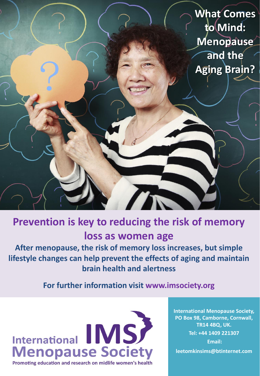**What Comes to Mind: Menopause and the Aging Brain?** The

# **Prevention is key to reducing the risk of memory loss as women age**

**After menopause, the risk of memory loss increases, but simple lifestyle changes can help prevent the effects of aging and maintain brain health and alertness**

**For further information visit www.imsociety.org**



**International Menopause Society, PO Box 98, Camborne, Cornwall, TR14 4BQ, UK. Tel: +44 1409 221307 Email: leetomkinsims@btinternet.com**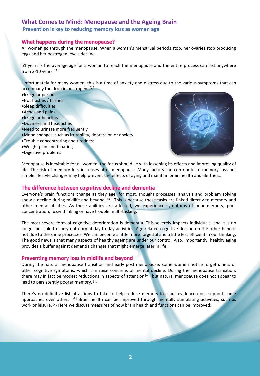# **What Comes to Mind: Menopause and the Ageing Brain**

**Prevention is key to reducing memory loss as women age**

# **What happens during the menopause?**

All women go through the menopause. When a woman's menstrual periods stop, her ovaries stop producing eggs and her oestrogen levels decline.

51 years is the average age for a woman to reach the menopause and the entire process can last anywhere from 2-10 years. [1.]

Unfortunately for many women, this is a time of anxiety and distress due to the various symptoms that can accompany the drop in oestrogen: [2.]

- Irregular periods
- Hot flushes / flashes
- Sleep difficulties
- Aches and pains
- Irregular heartbeat
- Dizziness and headaches
- Need to urinate more frequently
- Mood changes, such as irritability, depression or anxiety
- Trouble concentrating and tiredness
- Weight gain and bloating
- Digestive problems



Menopause is inevitable for all women; the focus should lie with lessening its effects and improving quality of life. The risk of memory loss increases after menopause. Many factors can contribute to memory loss but simple lifestyle changes may help prevent the effects of aging and maintain brain health and alertness.

# **The difference between cognitive decline and dementia**

Everyone's brain functions change as they age; for most, thought processes, analysis and problem solving show a decline during midlife and beyond. <sup>[3.]</sup>. This is because these tasks are linked directly to memory and other mental abilities. As these abilities are affected, we experience symptoms of poor memory, poor concentration, fuzzy thinking or have trouble multi-tasking.

The most severe form of cognitive deterioration is dementia. This severely impacts individuals, and it is no longer possible to carry out normal day-to-day activities. Age-related cognitive decline on the other hand is not due to the same processes. We can become a little more forgetful and a little less efficient in our thinking. The good news is that many aspects of healthy ageing are under our control. Also, importantly, healthy aging provides a buffer against dementia changes that might emerge later in life.

# **Preventing memory loss in midlife and beyond**

During the natural menopause transition and early post menopause, some women notice forgetfulness or other cognitive symptoms, which can raise concerns of mental decline. During the menopause transition, there may in fact be modest reductions in aspects of attention <sup>[4.]</sup>, but natural menopause does not appear to lead to persistently poorer memory. [5.]

There's no definitive list of actions to take to help reduce memory loss but evidence does support some approaches over others. <sup>[6.]</sup> Brain health can be improved through mentally stimulating activities, such as work or leisure. <sup>[7.]</sup> Here we discuss measures of how brain health and functions can be improved: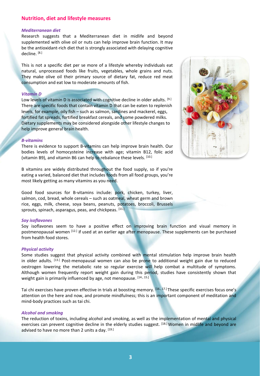# **Nutrition, diet and lifestyle measures**

#### *Mediterranean diet*

Research suggests that a Mediterranean diet in midlife and beyond supplemented with olive oil or nuts can help improve brain function. It may be the antioxidant-rich diet that is strongly associated with delaying cognitive decline. <sup>[8.]</sup>

This is not a specific diet per se more of a lifestyle whereby individuals eat natural, unprocessed foods like fruits, vegetables, whole grains and nuts. They make olive oil their primary source of dietary fat, reduce red meat consumption and eat low to moderate amounts of fish.

#### *Vitamin D*

Low levels of vitamin D is associated with cognitive decline in older adults. [9.] There are specific foods that contain vitamin D that can be eaten to replenish levels, for example, oily fish – such as salmon, sardines and mackerel, eggs, fortified fat spreads, fortified breakfast cereals, and some powdered milks. Dietary supplements may be considered alongside other lifestyle changes to help improve general brain health.

#### *B-vitamins*

There is evidence to support B-vitamins can help improve brain health. Our bodies levels of homocysteine increase with age; vitamin B12, folic acid (vitamin B9), and vitamin B6 can help to rebalance these levels. <sup>[10.]</sup>

B vitamins are widely distributed throughout the food supply, so if you're eating a varied, balanced diet that includes foods from all food groups, you're most likely getting as many vitamins as you need.

Good food sources for B-vitamins include: pork, chicken, turkey, liver, salmon, cod, bread, whole cereals – such as oatmeal, wheat germ and brown rice, eggs, milk, cheese, soya beans, peanuts, potatoes, broccoli, Brussels sprouts, spinach, asparagus, peas, and chickpeas. [11.]

#### *Soy isoflavones*

Soy isoflavones seem to have a positive effect on improving brain function and visual memory in postmenopausal women <sup>[12.]</sup> if used at an earlier age after menopause. These supplements can be purchased from health food stores.

#### *Physical activity*

Some studies suggest that physical activity combined with mental stimulation help improve brain health in older adults. <sup>[13.]</sup> Post-menopausal women can also be prone to additional weight gain due to reduced oestrogen lowering the metabolic rate so regular exercise will help combat a multitude of symptoms. Although women frequently report weight gain during this period, studies have consistently shown that weight gain is primarily influenced by age, not menopause. [14., 15.]

Tai chi exercises have proven effective in trials at boosting memory. <sup>[16., 17.]</sup> These specific exercises focus one's attention on the here and now, and promote mindfulness; this is an important component of meditation and mind-body practices such as tai chi.

#### *Alcohol and smoking*

The reduction of toxins, including alcohol and smoking, as well as the implementation of mental and physical exercises can prevent cognitive decline in the elderly studies suggest. <sup>[18.]</sup> Women in midlife and beyond are advised to have no more than 2 units a day. [19.]

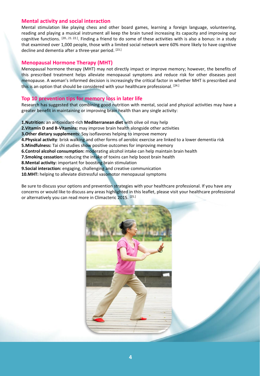# **Mental activity and social interaction**

Mental stimulation like playing chess and other board games, learning a foreign language, volunteering, reading and playing a musical instrument all keep the brain tuned increasing its capacity and improving our cognitive functions. <sup>[20., 21. 22.]</sup>. Finding a friend to do some of these activities with is also a bonus: in a study that examined over 1,000 people, those with a limited social network were 60% more likely to have cognitive decline and dementia after a three-year period. [23.]

## **Menopausal Hormone Therapy (MHT)**

Menopausal hormone therapy (MHT) may not directly impact or improve memory; however, the benefits of this prescribed treatment helps alleviate menopausal symptoms and reduce risk for other diseases post menopause. A woman's informed decision is increasingly the critical factor in whether MHT is prescribed and this is an option that should be considered with your healthcare professional. [24.]

# **Top 10 prevention tips for memory loss in later life**

Research has suggested that combining good nutrition with mental, social and physical activities may have a greater benefit in maintaining or improving brain health than any single activity:

- **1.Nutrition:** an antioxidant-rich **Mediterranean diet** with olive oil may help
- **2.Vitamin D and B-Vitamins:** may improve brain health alongside other activities
- **3.Other dietary supplements**: Soy isoflavones helping to improve memory
- **4.Physical activity**: brisk walking and other forms of aerobic exercise are linked to a lower dementia risk
- **5.Mindfulness:** Tai chi studies show positive outcomes for improving memory
- **6.Control alcohol consumption:** moderating alcohol intake can help maintain brain health
- **7.Smoking cessation:** reducing the intake of toxins can help boost brain health
- **8.Mental activity:** important for boosting brain stimulation
- **9.Social interaction:** engaging, challenging and creative communication
- **10.MHT:** helping to alleviate distressful vasomotor menopausal symptoms

Be sure to discuss your options and prevention strategies with your healthcare professional. If you have any concerns or would like to discuss any areas highlighted in this leaflet, please visit your healthcare professional or alternatively you can read more in Climacteric 2015. [25.]